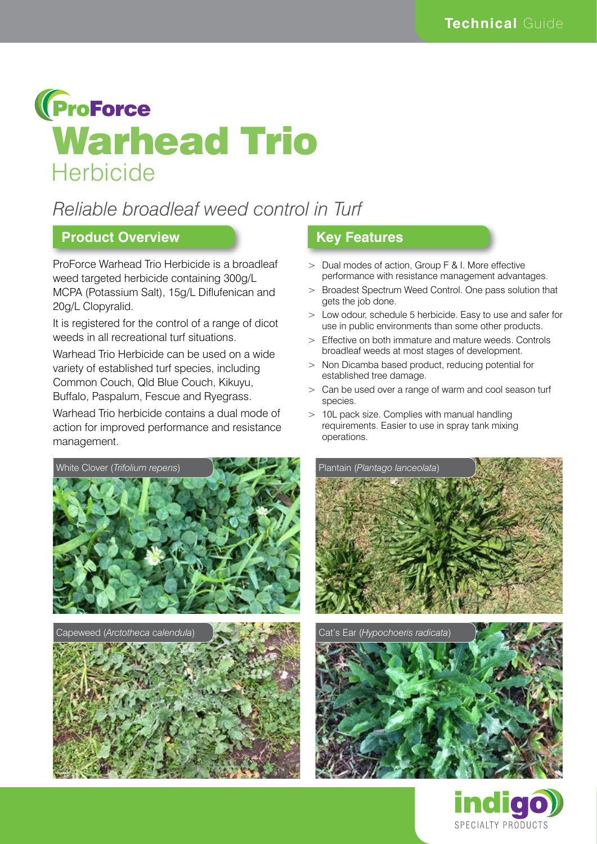

# *Reliable broadleaf weed control in Turf*

### **Product Overview**

ProForce Warhead Trio Herbicide is a broadleaf weed targeted herbicide containing 300g/L MCPA (Potassium Salt), 15g/L Diflufenican and 20g/L Clopyralid.

It is registered for the control of a range of dicot weeds in all recreational turf situations.

Warhead Trio Herbicide can be used on a wide variety of established turf species, including Common Couch, Qld Blue Couch, Kikuyu, Buffalo, Paspalum, Fescue and Ryegrass.

Warhead Trio herbicide contains a dual mode of action for improved performance and resistance management.

## **Key Features**

- > Dual modes of action, Group F & I. More effective performance with resistance management advantages.
- > Broadest Spectrum Weed Control. One pass solution that gets the job done.
- > Low odour, schedule 5 herbicide. Easy to use and safer for use in public environments than some other products.
- > Effective on both immature and mature weeds. Controls broadleaf weeds at most stages of development.
- > Non Dicamba based product, reducing potential for established tree damage.
- > Can be used over a range of warm and cool season turf species.
- > 10L pack size. Complies with manual handling requirements. Easier to use in spray tank mixing operations.